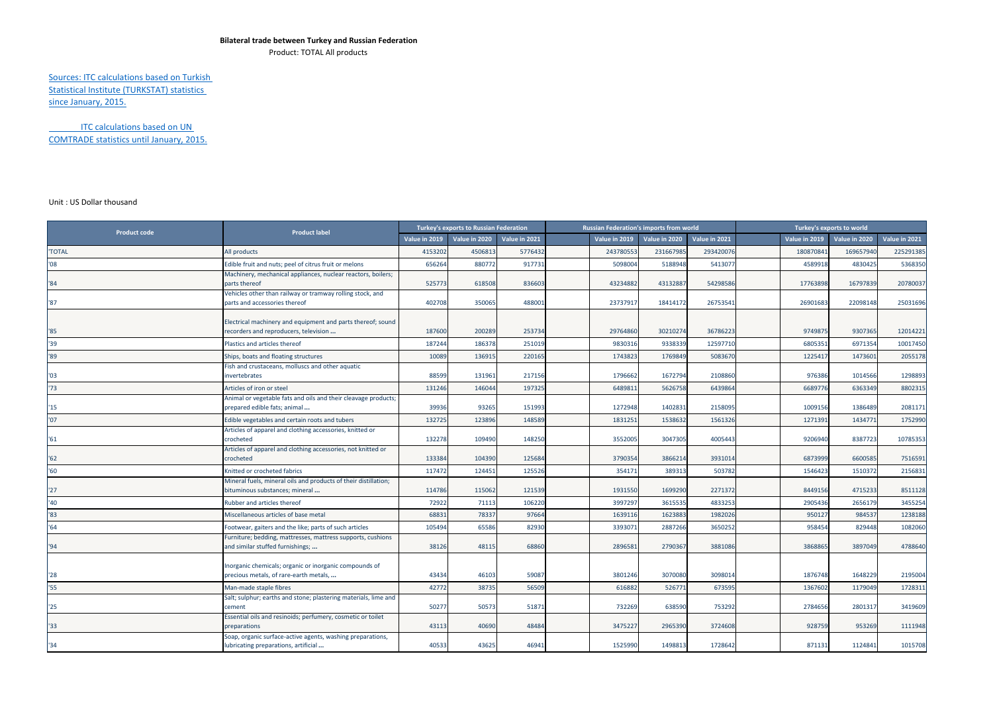## **Bilateral trade between Turkey and Russian Federation**

Product: TOTAL All products

Sources: ITC calculations based on Turkish Statistical Institute (TURKSTAT) statistics since January, 2015.

ITC calculations based on UN COMTRADE statistics until January, 2015.

## Unit : US Dollar thousand

| <b>Product code</b> | <b>Product label</b>                                                                                 | Turkey's exports to Russian Federation |               |               | <b>Russian Federation's imports from world</b> |               |               |               | Turkey's exports to world |               |               |               |
|---------------------|------------------------------------------------------------------------------------------------------|----------------------------------------|---------------|---------------|------------------------------------------------|---------------|---------------|---------------|---------------------------|---------------|---------------|---------------|
|                     |                                                                                                      | Value in 2019                          | Value in 2020 | Value in 2021 |                                                | Value in 2019 | Value in 2020 | Value in 2021 |                           | Value in 2019 | Value in 2020 | Value in 2021 |
| <b>TOTAL</b>        | All products                                                                                         | 415320                                 | 450681        | 5776432       |                                                | 24378055      | 23166798      | 293420076     |                           | 18087084      | 169657940     | 225291385     |
| 08                  | Edible fruit and nuts; peel of citrus fruit or melons                                                | 656264                                 | 880772        | 917731        |                                                | 5098004       | 5188948       | 5413077       |                           | 4589918       | 4830425       | 5368350       |
| 184                 | Machinery, mechanical appliances, nuclear reactors, boilers;<br>parts thereof                        | 525773                                 | 618508        | 836603        |                                                | 43234882      | 43132887      | 54298586      |                           | 17763898      | 16797839      | 20780037      |
| '87                 | Vehicles other than railway or tramway rolling stock, and<br>parts and accessories thereof           | 402708                                 | 350065        | 488001        |                                                | 23737917      | 18414172      | 26753541      |                           | 26901683      | 22098148      | 25031696      |
| '85                 | Electrical machinery and equipment and parts thereof; sound<br>recorders and reproducers, television | 187600                                 | 200289        | 253734        |                                                | 29764860      | 30210274      | 36786223      |                           | 9749875       | 9307365       | 12014221      |
| '39                 | Plastics and articles thereof                                                                        | 187244                                 | 186378        | 251019        |                                                | 9830316       | 933833        | 12597710      |                           | 6805351       | 6971354       | 10017450      |
| '89                 | Ships, boats and floating structures                                                                 | 10089                                  | 136915        | 220165        |                                                | 1743823       | 1769849       | 5083670       |                           | 1225417       | 1473601       | 2055178       |
| '03                 | Fish and crustaceans, molluscs and other aquatic<br>nvertebrates                                     | 88599                                  | 131961        | 217156        |                                                | 1796662       | 1672794       | 2108860       |                           | 976386        | 1014566       | 1298893       |
| '73                 | Articles of iron or steel                                                                            | 131246                                 | 146044        | 197325        |                                                | 6489811       | 5626758       | 6439864       |                           | 6689776       | 6363349       | 8802315       |
| 15                  | Animal or vegetable fats and oils and their cleavage products;<br>prepared edible fats; animal       | 39936                                  | 93265         | 151993        |                                                | 1272948       | 1402831       | 2158095       |                           | 1009156       | 1386489       | 2081171       |
| '07                 | Edible vegetables and certain roots and tubers                                                       | 132725                                 | 123896        | 148589        |                                                | 1831251       | 1538632       | 1561326       |                           | 1271391       | 1434771       | 1752990       |
| '61                 | Articles of apparel and clothing accessories, knitted or<br>crocheted                                | 132278                                 | 109490        | 148250        |                                                | 3552005       | 3047305       | 4005443       |                           | 9206940       | 8387723       | 10785353      |
| '62                 | Articles of apparel and clothing accessories, not knitted or<br>crocheted                            | 133384                                 | 104390        | 125684        |                                                | 3790354       | 3866214       | 393101        |                           | 6873999       | 6600585       | 7516591       |
| '60                 | Knitted or crocheted fabrics                                                                         | 117472                                 | 124451        | 125526        |                                                | 354171        | 389313        | 503782        |                           | 1546423       | 1510372       | 2156831       |
| '27                 | Mineral fuels, mineral oils and products of their distillation;<br>bituminous substances; mineral    | 114786                                 | 115062        | 121539        |                                                | 1931550       | 1699290       | 2271372       |                           | 8449156       | 4715233       | 8511128       |
| '40                 | Rubber and articles thereof                                                                          | 72922                                  | 71113         | 106220        |                                                | 3997297       | 3615535       | 4833253       |                           | 2905436       | 2656179       | 3455254       |
| '83                 | Miscellaneous articles of base metal                                                                 | 6883                                   | 78337         | 97664         |                                                | 1639116       | 1623883       | 1982026       |                           | 950127        | 984537        | 1238188       |
| 164                 | Footwear, gaiters and the like; parts of such articles                                               | 105494                                 | 65586         | 82930         |                                                | 3393071       | 2887266       | 3650252       |                           | 958454        | 829448        | 1082060       |
| '94                 | Furniture; bedding, mattresses, mattress supports, cushions<br>and similar stuffed furnishings;      | 38126                                  | 48115         | 68860         |                                                | 2896581       | 2790367       | 3881086       |                           | 3868865       | 3897049       | 4788640       |
| '28                 | Inorganic chemicals; organic or inorganic compounds of<br>precious metals, of rare-earth metals,     | 43434                                  | 46103         | 59087         |                                                | 3801246       | 3070080       | 3098014       |                           | 1876748       | 1648229       | 2195004       |
| '55                 | Man-made staple fibres                                                                               | 42772                                  | 38735         | 56509         |                                                | 616882        | 526771        | 673595        |                           | 1367602       | 1179049       | 1728311       |
| '25                 | Salt; sulphur; earths and stone; plastering materials, lime and<br>cement                            | 50277                                  | 50573         | 51871         |                                                | 732269        | 638590        | 753292        |                           | 2784656       | 2801317       | 3419609       |
| '33                 | Essential oils and resinoids; perfumery, cosmetic or toilet<br>preparations                          | 43113                                  | 40690         | 48484         |                                                | 3475227       | 2965390       | 3724608       |                           | 928759        | 953269        | 1111948       |
| '34'                | Soap, organic surface-active agents, washing preparations,<br>lubricating preparations, artificial   | 40533                                  | 43625         | 46941         |                                                | 1525990       | 1498813       | 1728642       |                           | 871131        | 1124841       | 1015708       |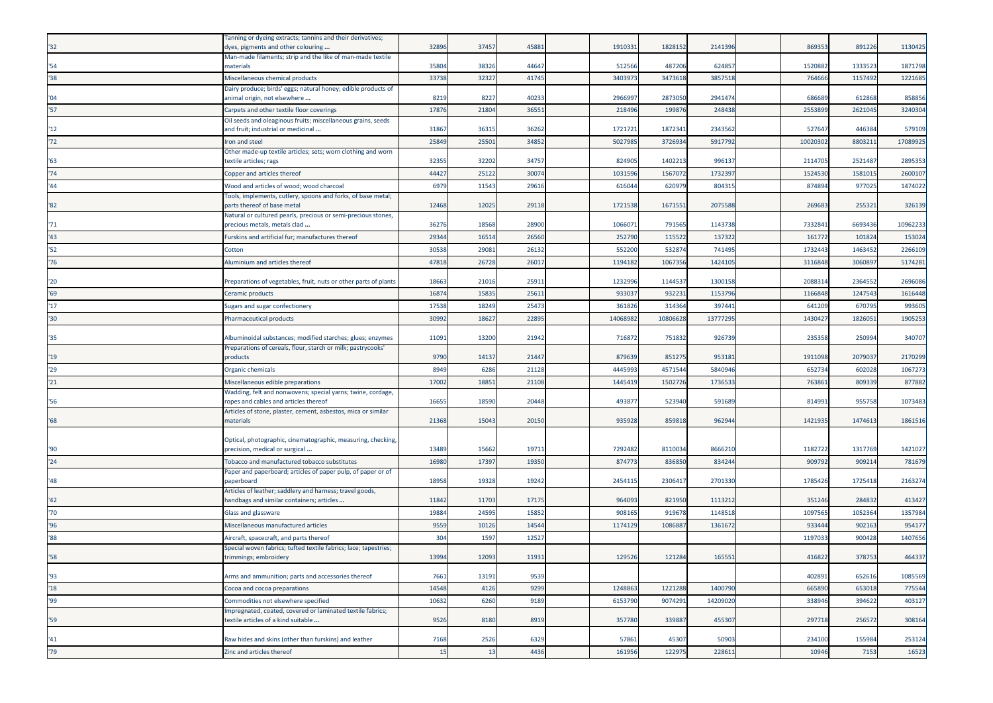| '32          | Tanning or dyeing extracts; tannins and their derivatives;<br>dyes, pigments and other colouring                           | 32896 | 37457 | 4588  | 1910331  | 1828152  | 2141396  | 869353   | 891226  | 1130425  |
|--------------|----------------------------------------------------------------------------------------------------------------------------|-------|-------|-------|----------|----------|----------|----------|---------|----------|
|              | Man-made filaments; strip and the like of man-made textile                                                                 |       |       |       |          |          |          |          |         |          |
| '54          | materials                                                                                                                  | 3580  | 38326 | 44647 | 512566   | 487206   | 624857   | 1520882  | 133352  | 1871798  |
| 38           | Miscellaneous chemical products<br>Dairy produce; birds' eggs; natural honey; edible products of                           | 33738 | 32327 | 41745 | 3403973  | 3473618  | 3857518  | 764666   | 115749  | 1221685  |
| '04          | animal origin, not elsewhere                                                                                               | 8219  | 8227  | 40233 | 2966997  | 2873050  | 2941474  | 686689   | 612868  | 858856   |
| '57          | Carpets and other textile floor coverings                                                                                  | 17876 | 21804 | 3655  | 218496   | 19987    | 248438   | 2553899  | 262104  | 3240304  |
|              | Oil seeds and oleaginous fruits; miscellaneous grains, seeds                                                               |       |       |       |          |          |          |          |         |          |
| 12           | and fruit; industrial or medicinal                                                                                         | 3186  | 36315 | 36262 | 1721721  | 1872341  | 2343562  | 527647   | 446384  | 579109   |
| 72           | Iron and steel<br>Other made-up textile articles; sets; worn clothing and worn                                             | 2584  | 25501 | 34852 | 5027985  | 3726934  | 591779   | 10020302 | 880321  | 17089925 |
| '63          | textile articles; rags                                                                                                     | 32355 | 32202 | 34757 | 824905   | 1402213  | 996137   | 2114705  | 252148  | 2895353  |
| '74'         | Copper and articles thereof                                                                                                | 44427 | 25122 | 3007  | 1031596  | 1567072  | 1732397  | 1524530  | 158101  | 2600107  |
| '44          | Wood and articles of wood; wood charcoal                                                                                   | 6979  | 11543 | 2961  | 616044   | 62097    | 80431    | 874894   | 97702   | 1474022  |
| '82          | Tools, implements, cutlery, spoons and forks, of base metal;<br>parts thereof of base metal                                | 12468 | 12025 | 29118 | 1721538  | 1671551  | 2075588  | 269683   | 25532   | 326139   |
|              | Natural or cultured pearls, precious or semi-precious stones,                                                              |       |       |       |          |          |          |          |         |          |
| '71          | precious metals, metals clad                                                                                               | 36276 | 18568 | 28900 | 1066071  | 791565   | 1143738  | 7332841  | 6693436 | 10962233 |
| 43'          | Furskins and artificial fur; manufactures thereof                                                                          | 2934  | 16514 | 26560 | 252790   | 115522   | 137322   | 161772   | 10182   | 153024   |
| 152          | Cotton                                                                                                                     | 30538 | 29081 | 26132 | 552200   | 532874   | 741495   | 1732443  | 146345  | 2266109  |
| '76          | Aluminium and articles thereof                                                                                             | 47818 | 26728 | 2601  | 1194182  | 1067356  | 1424105  | 3116848  | 306089  | 5174281  |
| '20          | Preparations of vegetables, fruit, nuts or other parts of plants                                                           | 18663 | 21016 | 2591  | 1232996  | 1144537  | 1300158  | 2088314  | 2364552 | 2696086  |
| '69'         | Ceramic products                                                                                                           | 1687  | 15835 | 2561  | 933037   | 932231   | 115379   | 1166848  | 124754  | 1616448  |
| 17           | Sugars and sugar confectionery                                                                                             | 17538 | 18249 | 2547  | 361826   | 314364   | 397441   | 641209   | 67079   | 993605   |
| '30          | <b>Pharmaceutical products</b>                                                                                             | 30992 | 18627 | 22895 | 14068982 | 10806628 | 13777295 | 1430427  | 182605  | 1905253  |
|              |                                                                                                                            |       |       |       |          |          |          |          |         |          |
| '35          | Albuminoidal substances; modified starches; glues; enzymes<br>Preparations of cereals, flour, starch or milk; pastrycooks' | 11091 | 13200 | 21942 | 716872   | 751832   | 926739   | 235358   | 250994  | 340707   |
| '19          | products                                                                                                                   | 9790  | 14137 | 21447 | 879639   | 851275   | 953181   | 1911098  | 207903  | 2170299  |
| '29          | Organic chemicals                                                                                                          | 8949  | 6286  | 21128 | 4445993  | 4571544  | 5840946  | 652734   | 60202   | 1067273  |
| 21           | Miscellaneous edible preparations                                                                                          | 17002 | 18851 | 21108 | 1445419  | 1502726  | 1736533  | 763861   | 80933   | 877882   |
| '56          | Wadding, felt and nonwovens; special yarns; twine, cordage,<br>ropes and cables and articles thereof                       | 16655 | 18590 | 20448 | 493877   | 523940   | 591689   | 814991   | 95575   | 1073483  |
|              | Articles of stone, plaster, cement, asbestos, mica or similar                                                              |       |       |       |          |          |          |          |         |          |
| $^{\circ}68$ | naterials                                                                                                                  | 21368 | 15043 | 20150 | 935928   | 859818   | 962944   | 1421935  | 147461  | 1861516  |
|              | Optical, photographic, cinematographic, measuring, checking,                                                               |       |       |       |          |          |          |          |         |          |
| '90          | precision, medical or surgical                                                                                             | 13489 | 15662 | 1971  | 7292482  | 8110034  | 8666210  | 1182722  | 131776  | 1421027  |
| '24          | Tobacco and manufactured tobacco substitutes                                                                               | 16980 | 17397 | 19350 | 874773   | 836850   | 834244   | 909792   | 90921   | 781679   |
|              | Paper and paperboard; articles of paper pulp, of paper or of                                                               |       |       |       |          |          |          |          |         |          |
| '48          | oaperboard<br>Articles of leather; saddlery and harness; travel goods,                                                     | 18958 | 19328 | 19242 | 245411   | 230641   | 270133   | 1785426  | 172541  | 2163274  |
| '42          | handbags and similar containers; articles                                                                                  | 11842 | 11703 | 17175 | 964093   | 821950   | 111321   | 351246   | 28483   | 413427   |
| '70          | Glass and glassware                                                                                                        | 1988  | 24595 | 15852 | 908165   | 91967    | 114851   | 1097565  | 105236  | 1357984  |
| 96           | Miscellaneous manufactured articles                                                                                        | 9559  | 10126 | 14544 | 1174129  | 108688   | 1361672  | 933444   | 90216   | 954177   |
| '88          | Aircraft, spacecraft, and parts thereof                                                                                    | 304   | 1597  | 1252  |          |          |          | 1197033  | 90042   | 1407656  |
| '58          | Special woven fabrics; tufted textile fabrics; lace; tapestries;<br>trimmings; embroidery                                  | 13994 | 12093 | 11931 | 129526   | 121284   | 165551   | 416822   | 378753  | 464337   |
|              |                                                                                                                            |       |       |       |          |          |          |          |         |          |
| '93          | Arms and ammunition; parts and accessories thereof                                                                         | 7661  | 13191 | 9539  |          |          |          | 402891   | 652616  | 1085569  |
| 18           | Cocoa and cocoa preparations                                                                                               | 14548 | 4126  | 9299  | 1248863  | 1221288  | 1400790  | 665890   | 65301   | 775544   |
| '99          | Commodities not elsewhere specified                                                                                        | 10632 | 6260  | 9189  | 6153790  | 9074291  | 14209020 | 338946   | 394622  | 403127   |
| '59          | mpregnated, coated, covered or laminated textile fabrics;<br>textile articles of a kind suitable                           | 9526  | 8180  | 8919  | 357780   | 339887   | 455307   | 297718   | 25657   | 308164   |
|              |                                                                                                                            |       |       |       |          |          |          |          |         |          |
| '41          | Raw hides and skins (other than furskins) and leather                                                                      | 7168  | 2526  | 6329  | 57861    | 45307    | 50903    | 234100   | 155984  | 253124   |
| '79          | Zinc and articles thereof                                                                                                  | 15    | 13    | 4436  | 161956   | 122975   | 228611   | 10946    | 7153    | 16523    |